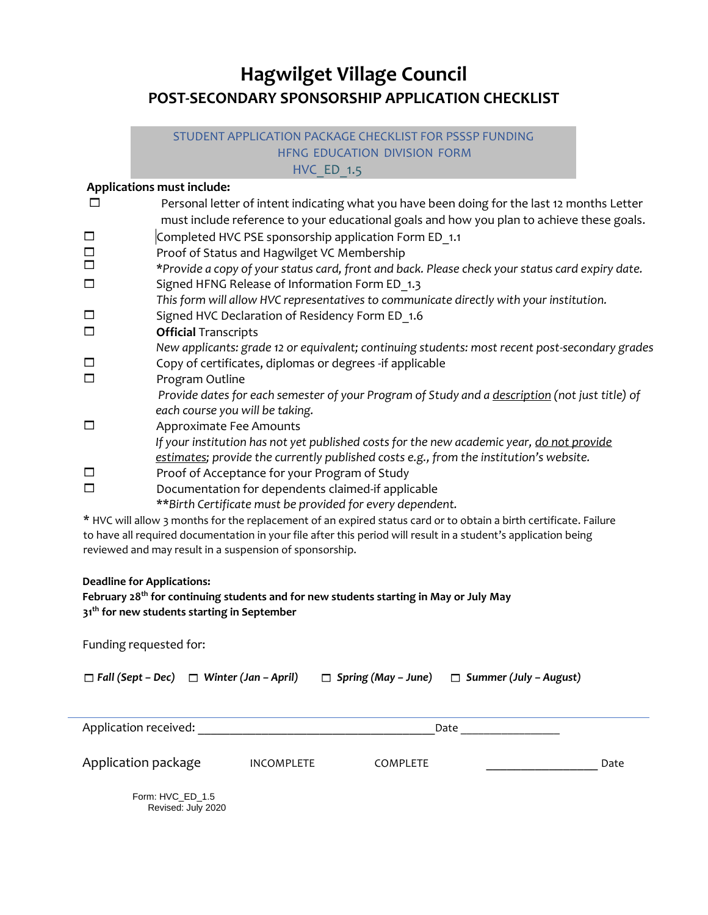# **Hagwilget Village Council POST-SECONDARY SPONSORSHIP APPLICATION CHECKLIST**

### STUDENT APPLICATION PACKAGE CHECKLIST FOR PSSSP FUNDING HFNG EDUCATION DIVISION FORM **HVC** ED 1.5

## **Applications must include:**

|                          | Personal letter of intent indicating what you have been doing for the last 12 months Letter     |
|--------------------------|-------------------------------------------------------------------------------------------------|
|                          | must include reference to your educational goals and how you plan to achieve these goals.       |
| $\overline{\phantom{a}}$ | Completed HVC PSE sponsorship application Form ED 1.1                                           |
| $\Box$                   | Proof of Status and Hagwilget VC Membership                                                     |
| $\Box$                   | *Provide a copy of your status card, front and back. Please check your status card expiry date. |
| $\Box$                   | Signed HFNG Release of Information Form ED 1.3                                                  |
|                          | This form will allow HVC representatives to communicate directly with your institution.         |
| $\Box$                   | Signed HVC Declaration of Residency Form ED 1.6                                                 |
| $\Box$                   | <b>Official Transcripts</b>                                                                     |
|                          | New applicants: grade 12 or equivalent; continuing students: most recent post-secondary grades  |
| $\overline{\phantom{a}}$ | Copy of certificates, diplomas or degrees -if applicable                                        |
| $\Box$                   | Program Outline                                                                                 |
|                          | Provide dates for each semester of your Program of Study and a description (not just title) of  |
|                          | each course you will be taking.                                                                 |
| $\Box$                   | Approximate Fee Amounts                                                                         |
|                          | If your institution has not yet published costs for the new academic year, do not provide       |
|                          | estimates; provide the currently published costs e.g., from the institution's website.          |
| $\Box$                   | Proof of Acceptance for your Program of Study                                                   |
| $\Box$                   | Documentation for dependents claimed-if applicable                                              |
|                          | **Birth Certificate must be provided for every dependent.                                       |

\* HVC will allow 3 months for the replacement of an expired status card or to obtain a birth certificate. Failure to have all required documentation in your file after this period will result in a student's application being reviewed and may result in a suspension of sponsorship.

#### **Deadline for Applications:**

Funding requested for:

#### **February 28th for continuing students and for new students starting in May or July May 31th for new students starting in September**

| $\Box$ Fall (Sept – Dec) $\Box$ Winter (Jan – April) |                   | $\Box$ Spring (May – June) | $\Box$ Summer (July - August) |      |
|------------------------------------------------------|-------------------|----------------------------|-------------------------------|------|
| Application received:<br>Date                        |                   |                            |                               |      |
| Application package                                  | <b>INCOMPLETE</b> | <b>COMPLETE</b>            |                               | Date |
| Form: HVC_ED_1.5<br>Revised: July 2020               |                   |                            |                               |      |